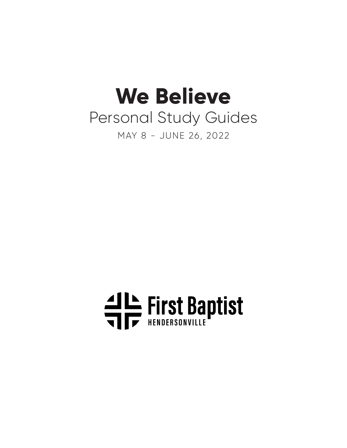# **We Believe** Personal Study Guides MAY 8 - JUNE 26, 2022

AL First Baptist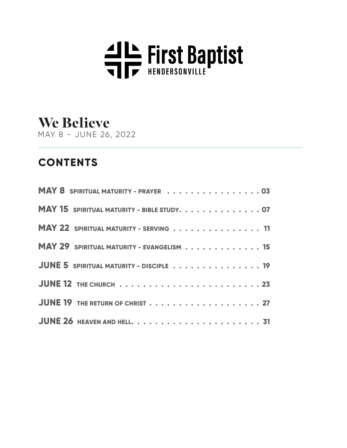# AL First Baptist

## We Believe MAY 8 - JUNE 26, 2022

# **CONTENTS**

| MAY 8 SPIRITUAL MATURITY - PRAYER 03        |
|---------------------------------------------|
| MAY 15 SPIRITUAL MATURITY - BIBLE STUDY. 07 |
| MAY 22 SPIRITUAL MATURITY - SERVING 11      |
| MAY 29 SPIRITUAL MATURITY - EVANGELISM 15   |
| JUNE 5 SPIRITUAL MATURITY - DISCIPLE 19     |
|                                             |
|                                             |
|                                             |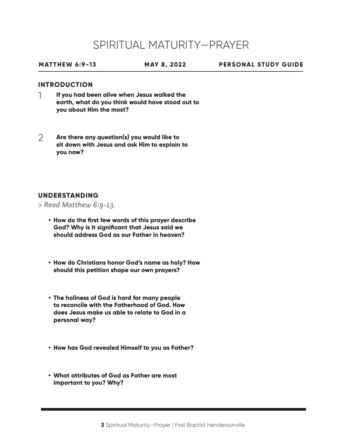# SPIRITUAL MATURITY—PRAYER

**MATTHEW 6:9-13 MAY 8, 2022 PERSONAL STUDY GUIDE**

#### **INTRODUCTION**

- 1 **If you had been alive when Jesus walked the earth, what do you think would have stood out to you about Him the most?**
- 2 **Are there any question(s) you would like to sit down with Jesus and ask Him to explain to you now?**

#### **UNDERSTANDING**

*> Read Matthew 6:9-13.*

- **• How do the first few words of this prayer describe God? Why is it significant that Jesus said we should address God as our Father in heaven?**
- **• How do Christians honor God's name as holy? How should this petition shape our own prayers?**
- **• The holiness of God is hard for many people to reconcile with the Fatherhood of God. How does Jesus make us able to relate to God in a personal way?**
- **• How has God revealed Himself to you as Father?**
- **• What attributes of God as Father are most important to you? Why?**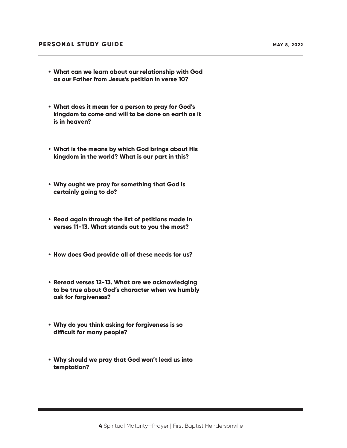#### **PERSONAL STUDY GUIDE MAY 8, 2022**

- **• What can we learn about our relationship with God as our Father from Jesus's petition in verse 10?**
- **• What does it mean for a person to pray for God's kingdom to come and will to be done on earth as it is in heaven?**
- **• What is the means by which God brings about His kingdom in the world? What is our part in this?**
- **• Why ought we pray for something that God is certainly going to do?**
- **• Read again through the list of petitions made in verses 11-13. What stands out to you the most?**
- **• How does God provide all of these needs for us?**
- **• Reread verses 12-13. What are we acknowledging to be true about God's character when we humbly ask for forgiveness?**
- **• Why do you think asking for forgiveness is so difficult for many people?**
- **• Why should we pray that God won't lead us into temptation?**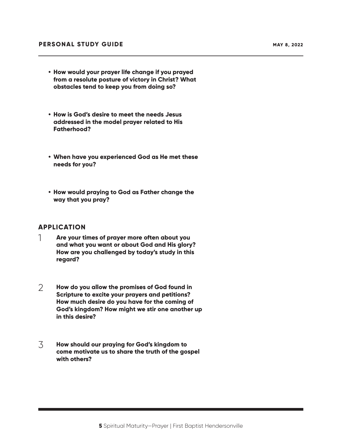#### **PERSONAL STUDY GUIDE MAY 8, 2022**

- **• How would your prayer life change if you prayed from a resolute posture of victory in Christ? What obstacles tend to keep you from doing so?**
- **• How is God's desire to meet the needs Jesus addressed in the model prayer related to His Fatherhood?**
- **• When have you experienced God as He met these needs for you?**
- **• How would praying to God as Father change the way that you pray?**

#### **APPLICATION**

- 1 **Are your times of prayer more often about you and what you want or about God and His glory? How are you challenged by today's study in this regard?**
- 2 **How do you allow the promises of God found in Scripture to excite your prayers and petitions? How much desire do you have for the coming of God's kingdom? How might we stir one another up in this desire?**
- 3 **How should our praying for God's kingdom to come motivate us to share the truth of the gospel with others?**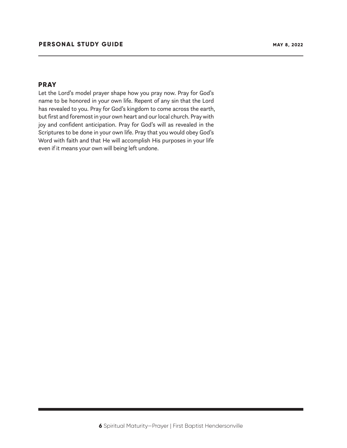## **PRAY**

Let the Lord's model prayer shape how you pray now. Pray for God's name to be honored in your own life. Repent of any sin that the Lord has revealed to you. Pray for God's kingdom to come across the earth, but first and foremost in your own heart and our local church. Pray with joy and confident anticipation. Pray for God's will as revealed in the Scriptures to be done in your own life. Pray that you would obey God's Word with faith and that He will accomplish His purposes in your life even if it means your own will being left undone.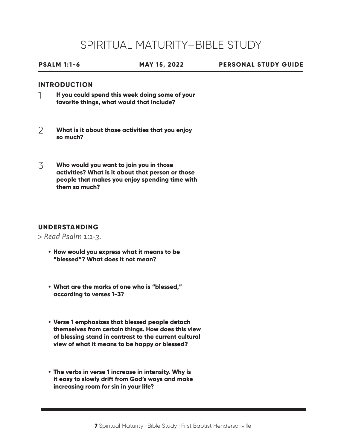# SPIRITUAL MATURITY–BIBLE STUDY

**PSALM 1:1-6 MAY 15, 2022 PERSONAL STUDY GUIDE**

#### **INTRODUCTION**

- 1 **If you could spend this week doing some of your favorite things, what would that include?**
- 2 **What is it about those activities that you enjoy so much?**
- 3 **Who would you want to join you in those activities? What is it about that person or those people that makes you enjoy spending time with them so much?**

#### **UNDERSTANDING**

*> Read Psalm 1:1-3.*

- **• How would you express what it means to be "blessed"? What does it not mean?**
- **• What are the marks of one who is "blessed," according to verses 1-3?**
- **• Verse 1 emphasizes that blessed people detach themselves from certain things. How does this view of blessing stand in contrast to the current cultural view of what it means to be happy or blessed?**
- **• The verbs in verse 1 increase in intensity. Why is it easy to slowly drift from God's ways and make increasing room for sin in your life?**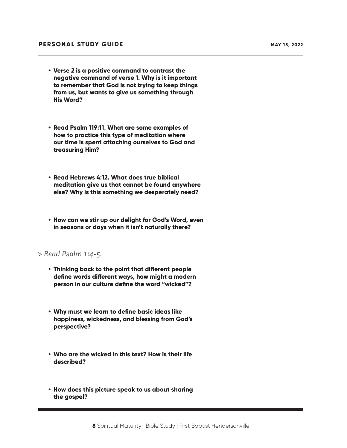#### **PERSONAL STUDY GUIDE MAY 15, 2022**

- **• Verse 2 is a positive command to contrast the negative command of verse 1. Why is it important to remember that God is not trying to keep things from us, but wants to give us something through His Word?**
- **• Read Psalm 119:11. What are some examples of how to practice this type of meditation where our time is spent attaching ourselves to God and treasuring Him?**
- **• Read Hebrews 4:12. What does true biblical meditation give us that cannot be found anywhere else? Why is this something we desperately need?**
- **• How can we stir up our delight for God's Word, even in seasons or days when it isn't naturally there?**

### *> Read Psalm 1:4-5.*

- **• Thinking back to the point that different people define words different ways, how might a modern person in our culture define the word "wicked"?**
- **• Why must we learn to define basic ideas like happiness, wickedness, and blessing from God's perspective?**
- **• Who are the wicked in this text? How is their life described?**
- **• How does this picture speak to us about sharing the gospel?**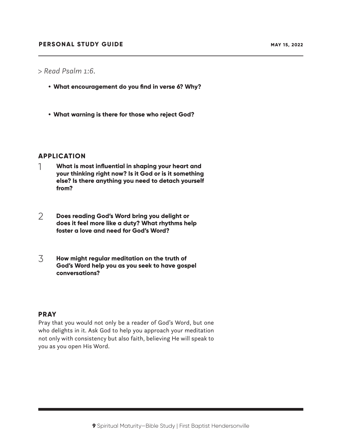#### *> Read Psalm 1:6.*

- **• What encouragement do you find in verse 6? Why?**
- **• What warning is there for those who reject God?**

#### **APPLICATION**

- 1 **What is most influential in shaping your heart and your thinking right now? Is it God or is it something else? Is there anything you need to detach yourself from?**
- 2 **Does reading God's Word bring you delight or does it feel more like a duty? What rhythms help foster a love and need for God's Word?**
- 3 **How might regular meditation on the truth of God's Word help you as you seek to have gospel conversations?**

#### **PRAY**

Pray that you would not only be a reader of God's Word, but one who delights in it. Ask God to help you approach your meditation not only with consistency but also faith, believing He will speak to you as you open His Word.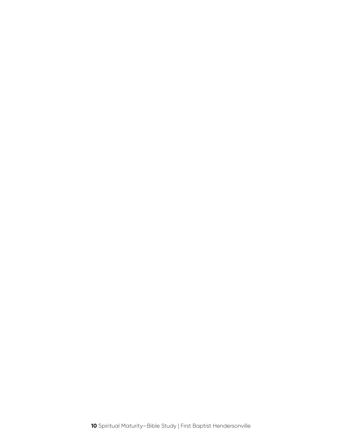Spiritual Maturity—Bible Study | First Baptist Hendersonville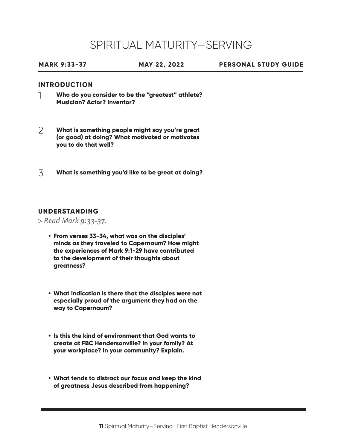## SPIRITUAL MATURITY—SERVING

**MARK 9:33-37 MAY 22, 2022 PERSONAL STUDY GUIDE**

#### **INTRODUCTION**

- 1 **Who do you consider to be the "greatest" athlete? Musician? Actor? Inventor?**
- 2 **What is something people might say you're great (or good) at doing? What motivated or motivates you to do that well?**
- 3 **What is something you'd like to be great at doing?**

#### **UNDERSTANDING**

*> Read Mark 9:33-37.*

- **• From verses 33-34, what was on the disciples' minds as they traveled to Capernaum? How might the experiences of Mark 9:1-29 have contributed to the development of their thoughts about greatness?**
- **• What indication is there that the disciples were not especially proud of the argument they had on the way to Capernaum?**
- **• Is this the kind of environment that God wants to create at FBC Hendersonville? In your family? At your workplace? In your community? Explain.**
- **• What tends to distract our focus and keep the kind of greatness Jesus described from happening?**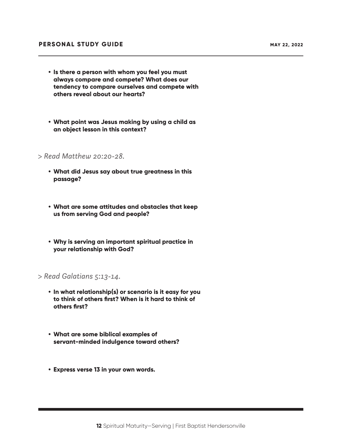#### **PERSONAL STUDY GUIDE** MAY 22, 2022

- **• Is there a person with whom you feel you must always compare and compete? What does our tendency to compare ourselves and compete with others reveal about our hearts?**
- **• What point was Jesus making by using a child as an object lesson in this context?**

*> Read Matthew 20:20-28.*

- **• What did Jesus say about true greatness in this passage?**
- **• What are some attitudes and obstacles that keep us from serving God and people?**
- **• Why is serving an important spiritual practice in your relationship with God?**

*> Read Galatians 5:13-14.*

- **• In what relationship(s) or scenario is it easy for you to think of others first? When is it hard to think of others first?**
- **• What are some biblical examples of servant-minded indulgence toward others?**
- **• Express verse 13 in your own words.**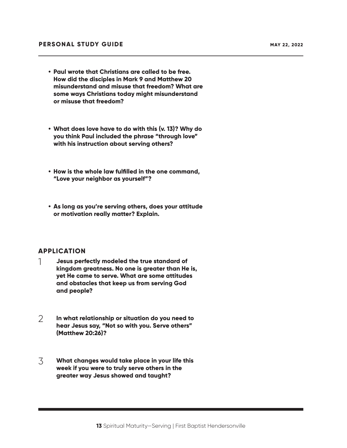- **• Paul wrote that Christians are called to be free. How did the disciples in Mark 9 and Matthew 20 misunderstand and misuse that freedom? What are some ways Christians today might misunderstand or misuse that freedom?**
- **• What does love have to do with this (v. 13)? Why do you think Paul included the phrase "through love" with his instruction about serving others?**
- **• How is the whole law fulfilled in the one command, "Love your neighbor as yourself"?**
- **• As long as you're serving others, does your attitude or motivation really matter? Explain.**

### **APPLICATION**

- 1 **Jesus perfectly modeled the true standard of kingdom greatness. No one is greater than He is, yet He came to serve. What are some attitudes and obstacles that keep us from serving God and people?**
- 2 **In what relationship or situation do you need to hear Jesus say, "Not so with you. Serve others" (Matthew 20:26)?**
- 3 **What changes would take place in your life this week if you were to truly serve others in the greater way Jesus showed and taught?**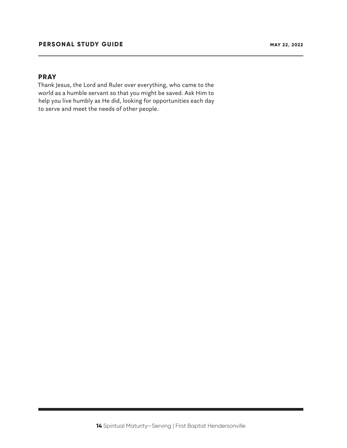## **PRAY**

Thank Jesus, the Lord and Ruler over everything, who came to the world as a humble servant so that you might be saved. Ask Him to help you live humbly as He did, looking for opportunities each day to serve and meet the needs of other people.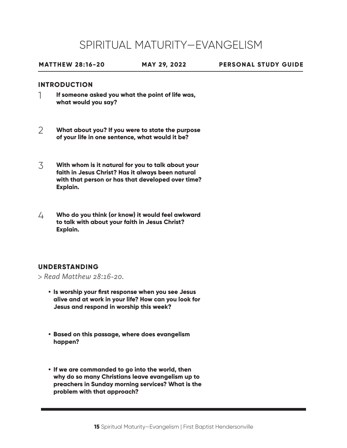## SPIRITUAL MATURITY—EVANGELISM

#### **MATTHEW 28:16-20 MAY 29, 2022 PERSONAL STUDY GUIDE**

#### **INTRODUCTION**

- 1 **If someone asked you what the point of life was, what would you say?**
- 2 **What about you? If you were to state the purpose of your life in one sentence, what would it be?**
- 3 **With whom is it natural for you to talk about your faith in Jesus Christ? Has it always been natural with that person or has that developed over time? Explain.**
- 4 **Who do you think (or know) it would feel awkward to talk with about your faith in Jesus Christ? Explain.**

#### **UNDERSTANDING**

*> Read Matthew 28:16-20.*

- **• Is worship your first response when you see Jesus alive and at work in your life? How can you look for Jesus and respond in worship this week?**
- **• Based on this passage, where does evangelism happen?**
- **• If we are commanded to go into the world, then why do so many Christians leave evangelism up to preachers in Sunday morning services? What is the problem with that approach?**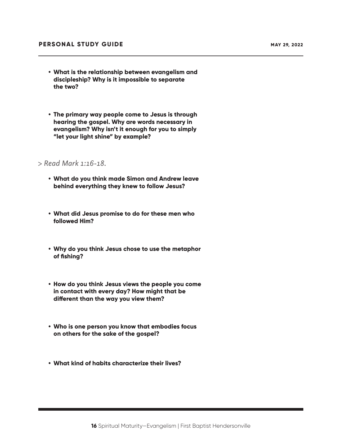- **• What is the relationship between evangelism and discipleship? Why is it impossible to separate the two?**
- **• The primary way people come to Jesus is through hearing the gospel. Why are words necessary in evangelism? Why isn't it enough for you to simply "let your light shine" by example?**

### *> Read Mark 1:16-18.*

- **• What do you think made Simon and Andrew leave behind everything they knew to follow Jesus?**
- **• What did Jesus promise to do for these men who followed Him?**
- **• Why do you think Jesus chose to use the metaphor of fishing?**
- **• How do you think Jesus views the people you come in contact with every day? How might that be different than the way you view them?**
- **• Who is one person you know that embodies focus on others for the sake of the gospel?**
- **• What kind of habits characterize their lives?**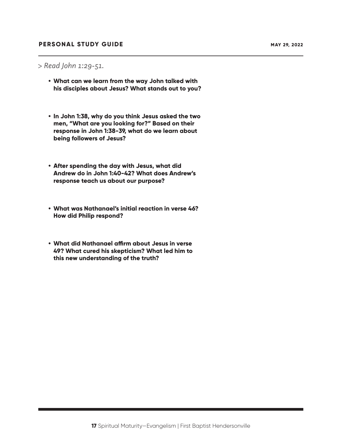#### **PERSONAL STUDY GUIDE MAY 29, 2022**

## *> Read John 1:29-51.*

- **• What can we learn from the way John talked with his disciples about Jesus? What stands out to you?**
- **• In John 1:38, why do you think Jesus asked the two men, "What are you looking for?" Based on their response in John 1:38-39, what do we learn about being followers of Jesus?**
- **• After spending the day with Jesus, what did Andrew do in John 1:40-42? What does Andrew's response teach us about our purpose?**
- **• What was Nathanael's initial reaction in verse 46? How did Philip respond?**
- **• What did Nathanael affirm about Jesus in verse 49? What cured his skepticism? What led him to this new understanding of the truth?**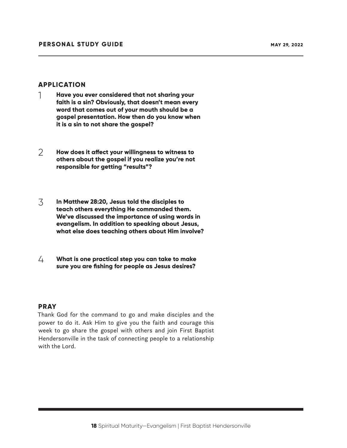#### **APPLICATION**

- 1 **Have you ever considered that not sharing your faith is a sin? Obviously, that doesn't mean every word that comes out of your mouth should be a gospel presentation. How then do you know when it is a sin to not share the gospel?**
- 2 **How does it affect your willingness to witness to others about the gospel if you realize you're not responsible for getting "results"?**
- 3 **In Matthew 28:20, Jesus told the disciples to teach others everything He commanded them. We've discussed the importance of using words in evangelism. In addition to speaking about Jesus, what else does teaching others about Him involve?**
- 4 **What is one practical step you can take to make sure you are fishing for people as Jesus desires?**

#### **PRAY**

Thank God for the command to go and make disciples and the power to do it. Ask Him to give you the faith and courage this week to go share the gospel with others and join First Baptist Hendersonville in the task of connecting people to a relationship with the Lord.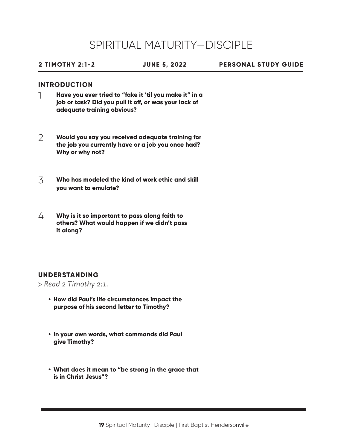# SPIRITUAL MATURITY—DISCIPLE

**2 TIMOTHY 2:1-2 JUNE 5, 2022 PERSONAL STUDY GUIDE**

#### **INTRODUCTION**

- 1 **Have you ever tried to "fake it 'til you make it" in a job or task? Did you pull it off, or was your lack of adequate training obvious?**
- 2 **Would you say you received adequate training for the job you currently have or a job you once had? Why or why not?**
- 3 **Who has modeled the kind of work ethic and skill you want to emulate?**
- 4 **Why is it so important to pass along faith to others? What would happen if we didn't pass it along?**

## **UNDERSTANDING**

*> Read 2 Timothy 2:1.*

- **• How did Paul's life circumstances impact the purpose of his second letter to Timothy?**
- **• In your own words, what commands did Paul give Timothy?**
- **• What does it mean to "be strong in the grace that is in Christ Jesus"?**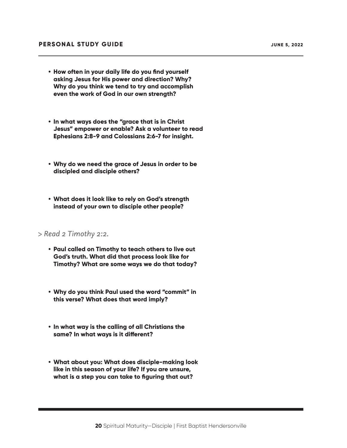- **• How often in your daily life do you find yourself asking Jesus for His power and direction? Why? Why do you think we tend to try and accomplish even the work of God in our own strength?**
- **• In what ways does the "grace that is in Christ Jesus" empower or enable? Ask a volunteer to read Ephesians 2:8-9 and Colossians 2:6-7 for insight.**
- **• Why do we need the grace of Jesus in order to be discipled and disciple others?**
- **• What does it look like to rely on God's strength instead of your own to disciple other people?**

#### *> Read 2 Timothy 2:2.*

- **• Paul called on Timothy to teach others to live out God's truth. What did that process look like for Timothy? What are some ways we do that today?**
- **• Why do you think Paul used the word "commit" in this verse? What does that word imply?**
- **• In what way is the calling of all Christians the same? In what ways is it different?**
- **• What about you: What does disciple-making look like in this season of your life? If you are unsure, what is a step you can take to figuring that out?**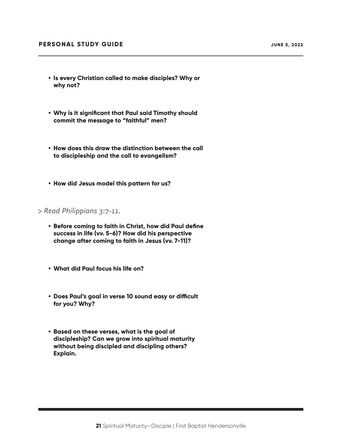#### **PERSONAL STUDY GUIDE** *JUNE 5, 2022*

- **• Is every Christian called to make disciples? Why or why not?**
- **• Why is it significant that Paul said Timothy should commit the message to "faithful" men?**
- **• How does this draw the distinction between the call to discipleship and the call to evangelism?**
- **• How did Jesus model this pattern for us?**

*> Read Philippians 3:7-11.*

- **• Before coming to faith in Christ, how did Paul define success in life (vv. 5-6)? How did his perspective change after coming to faith in Jesus (vv. 7-11)?**
- **• What did Paul focus his life on?**
- **• Does Paul's goal in verse 10 sound easy or difficult for you? Why?**
- **• Based on these verses, what is the goal of discipleship? Can we grow into spiritual maturity without being discipled and discipling others? Explain.**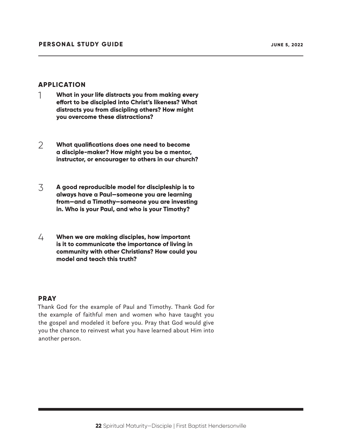#### **APPLICATION**

- 1 **What in your life distracts you from making every effort to be discipled into Christ's likeness? What distracts you from discipling others? How might you overcome these distractions?**
- 2 **What qualifications does one need to become a disciple-maker? How might you be a mentor, instructor, or encourager to others in our church?**
- 3 **A good reproducible model for discipleship is to always have a Paul—someone you are learning from—and a Timothy—someone you are investing in. Who is your Paul, and who is your Timothy?**
- 4 **When we are making disciples, how important is it to communicate the importance of living in community with other Christians? How could you model and teach this truth?**

#### **PRAY**

Thank God for the example of Paul and Timothy. Thank God for the example of faithful men and women who have taught you the gospel and modeled it before you. Pray that God would give you the chance to reinvest what you have learned about Him into another person.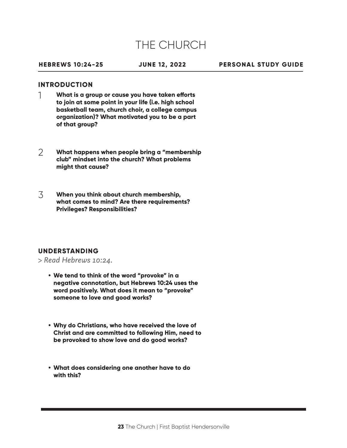## THE CHURCH

#### **INTRODUCTION**

- 1 **What is a group or cause you have taken efforts to join at some point in your life (i.e. high school basketball team, church choir, a college campus organization)? What motivated you to be a part of that group?**
- 2 **What happens when people bring a "membership club" mindset into the church? What problems might that cause?**
- 3 **When you think about church membership, what comes to mind? Are there requirements? Privileges? Responsibilities?**

#### **UNDERSTANDING**

*> Read Hebrews 10:24.*

- **• We tend to think of the word "provoke" in a negative connotation, but Hebrews 10:24 uses the word positively. What does it mean to "provoke" someone to love and good works?**
- **• Why do Christians, who have received the love of Christ and are committed to following Him, need to be provoked to show love and do good works?**
- **• What does considering one another have to do with this?**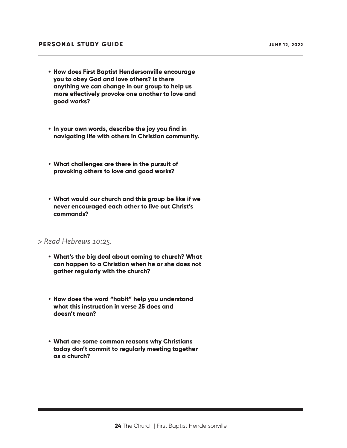#### **PERSONAL STUDY GUIDE SUIDE All and STUDY GUIDE JUNE 12, 2022**

- **• How does First Baptist Hendersonville encourage you to obey God and love others? Is there anything we can change in our group to help us more effectively provoke one another to love and good works?**
- **• In your own words, describe the joy you find in navigating life with others in Christian community.**
- **• What challenges are there in the pursuit of provoking others to love and good works?**
- **• What would our church and this group be like if we never encouraged each other to live out Christ's commands?**

#### *> Read Hebrews 10:25.*

- **• What's the big deal about coming to church? What can happen to a Christian when he or she does not gather regularly with the church?**
- **• How does the word "habit" help you understand what this instruction in verse 25 does and doesn't mean?**
- **• What are some common reasons why Christians today don't commit to regularly meeting together as a church?**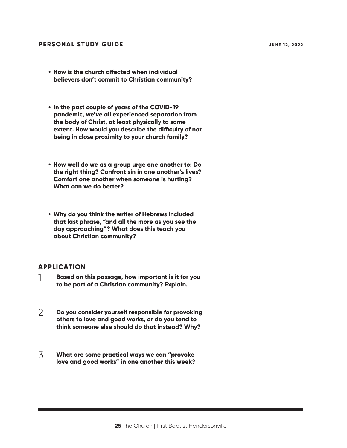- **• How is the church affected when individual believers don't commit to Christian community?**
- **• In the past couple of years of the COVID-19 pandemic, we've all experienced separation from the body of Christ, at least physically to some extent. How would you describe the difficulty of not being in close proximity to your church family?**
- **• How well do we as a group urge one another to: Do the right thing? Confront sin in one another's lives? Comfort one another when someone is hurting? What can we do better?**
- **• Why do you think the writer of Hebrews included that last phrase, "and all the more as you see the day approaching"? What does this teach you about Christian community?**

#### **APPLICATION**

- 1 **Based on this passage, how important is it for you to be part of a Christian community? Explain.**
- 2 **Do you consider yourself responsible for provoking others to love and good works, or do you tend to think someone else should do that instead? Why?**
- 3 **What are some practical ways we can "provoke love and good works" in one another this week?**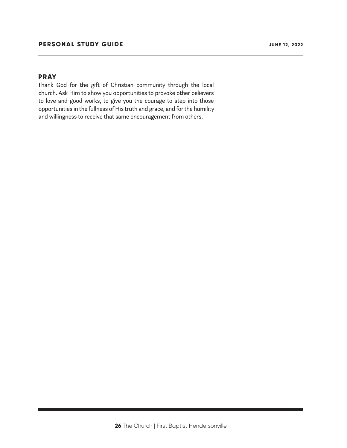#### **PRAY**

Thank God for the gift of Christian community through the local church. Ask Him to show you opportunities to provoke other believers to love and good works, to give you the courage to step into those opportunities in the fullness of His truth and grace, and for the humility and willingness to receive that same encouragement from others.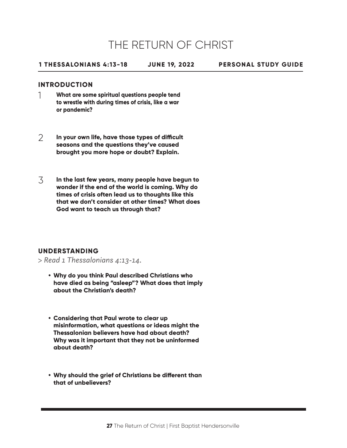# THE RETURN OF CHRIST

**1 THESSALONIANS 4:13-18 JUNE 19, 2022 PERSONAL STUDY GUIDE**

#### **INTRODUCTION**

- 1 **What are some spiritual questions people tend to wrestle with during times of crisis, like a war or pandemic?**
- 2 **In your own life, have those types of difficult seasons and the questions they've caused brought you more hope or doubt? Explain.**
- 3 **In the last few years, many people have begun to wonder if the end of the world is coming. Why do times of crisis often lead us to thoughts like this that we don't consider at other times? What does God want to teach us through that?**

#### **UNDERSTANDING**

*> Read 1 Thessalonians 4:13-14.*

- **• Why do you think Paul described Christians who have died as being "asleep"? What does that imply about the Christian's death?**
- **• Considering that Paul wrote to clear up misinformation, what questions or ideas might the Thessalonian believers have had about death? Why was it important that they not be uninformed about death?**
- **• Why should the grief of Christians be different than that of unbelievers?**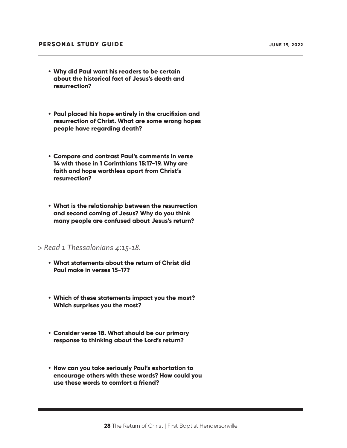#### **PERSONAL STUDY GUIDE SUITE AND SUITE AND ACCOUNT OF A SUITE 19, 2022**

- **• Why did Paul want his readers to be certain about the historical fact of Jesus's death and resurrection?**
- **• Paul placed his hope entirely in the crucifixion and resurrection of Christ. What are some wrong hopes people have regarding death?**
- **• Compare and contrast Paul's comments in verse 14 with those in 1 Corinthians 15:17-19. Why are faith and hope worthless apart from Christ's resurrection?**
- **• What is the relationship between the resurrection and second coming of Jesus? Why do you think many people are confused about Jesus's return?**

#### *> Read 1 Thessalonians 4:15-18.*

- **• What statements about the return of Christ did Paul make in verses 15-17?**
- **• Which of these statements impact you the most? Which surprises you the most?**
- **• Consider verse 18. What should be our primary response to thinking about the Lord's return?**
- **• How can you take seriously Paul's exhortation to encourage others with these words? How could you use these words to comfort a friend?**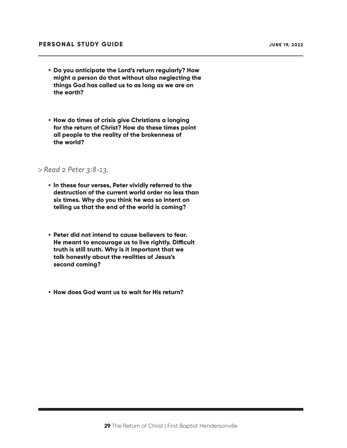- **• Do you anticipate the Lord's return regularly? How might a person do that without also neglecting the things God has called us to as long as we are on the earth?**
- **• How do times of crisis give Christians a longing for the return of Christ? How do these times point all people to the reality of the brokenness of the world?**

## *> Read 2 Peter 3:8-13.*

- **• In these four verses, Peter vividly referred to the destruction of the current world order no less than six times. Why do you think he was so intent on telling us that the end of the world is coming?**
- **• Peter did not intend to cause believers to fear. He meant to encourage us to live rightly. Difficult truth is still truth. Why is it important that we talk honestly about the realities of Jesus's second coming?**
- **• How does God want us to wait for His return?**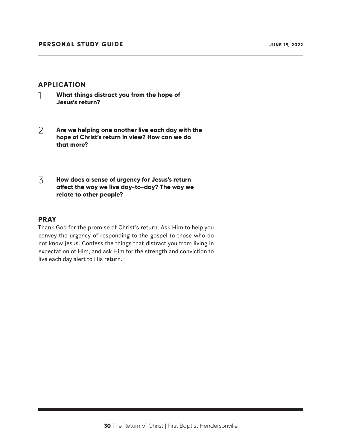- 1 **What things distract you from the hope of Jesus's return?**
- 2 **Are we helping one another live each day with the hope of Christ's return in view? How can we do that more?**
- 3 **How does a sense of urgency for Jesus's return affect the way we live day-to-day? The way we relate to other people?**

#### **PRAY**

Thank God for the promise of Christ's return. Ask Him to help you convey the urgency of responding to the gospel to those who do not know Jesus. Confess the things that distract you from living in expectation of Him, and ask Him for the strength and conviction to live each day alert to His return.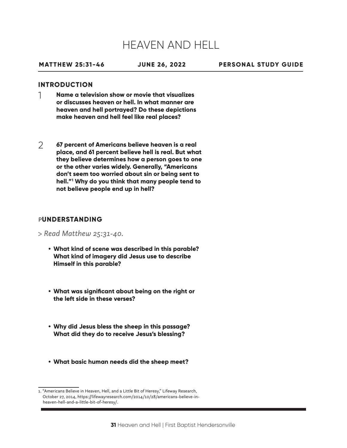## HEAVEN AND HELL

#### **INTRODUCTION**

- 1 **Name a television show or movie that visualizes or discusses heaven or hell. In what manner are heaven and hell portrayed? Do these depictions make heaven and hell feel like real places?**
- 2 **67 percent of Americans believe heaven is a real place, and 61 percent believe hell is real. But what they believe determines how a person goes to one or the other varies widely. Generally, "Americans don't seem too worried about sin or being sent to hell."1 Why do you think that many people tend to not believe people end up in hell?**

#### P**UNDERSTANDING**

- *> Read Matthew 25:31-40.*
	- **• What kind of scene was described in this parable? What kind of imagery did Jesus use to describe Himself in this parable?**
	- **• What was significant about being on the right or the left side in these verses?**
	- **• Why did Jesus bless the sheep in this passage? What did they do to receive Jesus's blessing?**
	- **• What basic human needs did the sheep meet?**

<sup>1. &</sup>quot;Americans Believe in Heaven, Hell, and a Little Bit of Heresy," Lifeway Research, October 27, 2014, https://lifewayresearch.com/2014/10/28/americans-believe-inheaven-hell-and-a-little-bit-of-heresy/.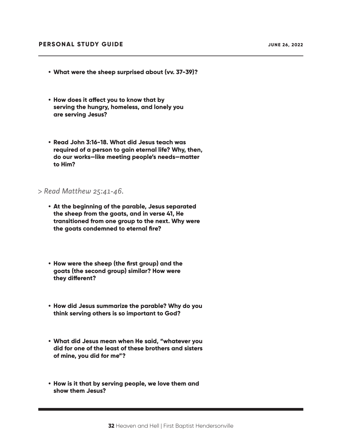- **• What were the sheep surprised about (vv. 37-39)?**
- **• How does it affect you to know that by serving the hungry, homeless, and lonely you are serving Jesus?**
- **• Read John 3:16-18. What did Jesus teach was required of a person to gain eternal life? Why, then, do our works—like meeting people's needs—matter to Him?**

#### *> Read Matthew 25:41-46.*

- **• At the beginning of the parable, Jesus separated the sheep from the goats, and in verse 41, He transitioned from one group to the next. Why were the goats condemned to eternal fire?**
- **• How were the sheep (the first group) and the goats (the second group) similar? How were they different?**
- **• How did Jesus summarize the parable? Why do you think serving others is so important to God?**
- **• What did Jesus mean when He said, "whatever you did for one of the least of these brothers and sisters of mine, you did for me"?**
- **• How is it that by serving people, we love them and show them Jesus?**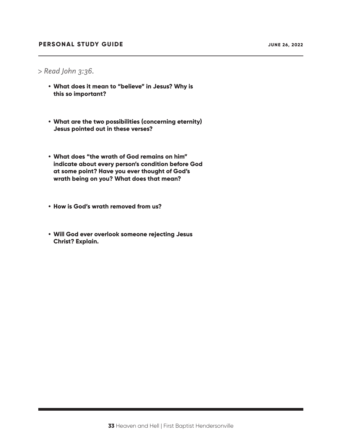- **• What does it mean to "believe" in Jesus? Why is this so important?**
- **• What are the two possibilities (concerning eternity) Jesus pointed out in these verses?**
- **• What does "the wrath of God remains on him" indicate about every person's condition before God at some point? Have you ever thought of God's wrath being on you? What does that mean?**
- **• How is God's wrath removed from us?**
- **• Will God ever overlook someone rejecting Jesus Christ? Explain.**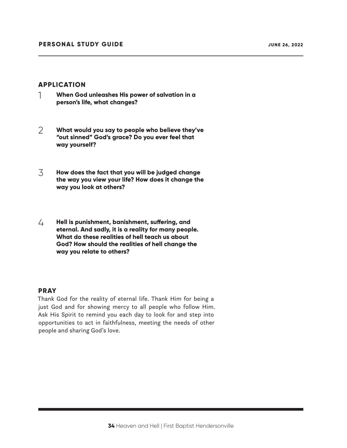- 1 **When God unleashes His power of salvation in a person's life, what changes?**
- 2 **What would you say to people who believe they've "out sinned" God's grace? Do you ever feel that way yourself?**
- 3 **How does the fact that you will be judged change the way you view your life? How does it change the way you look at others?**
- 4 **Hell is punishment, banishment, suffering, and eternal. And sadly, it is a reality for many people. What do these realities of hell teach us about God? How should the realities of hell change the way you relate to others?**

#### **PRAY**

Thank God for the reality of eternal life. Thank Him for being a just God and for showing mercy to all people who follow Him. Ask His Spirit to remind you each day to look for and step into opportunities to act in faithfulness, meeting the needs of other people and sharing God's love.